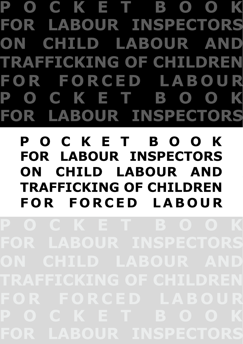P O C K E T B O O K FOR LABOUR INSPECTORS ON CHILD LABOUR AND **TRAFFICKING OF CHILDREN FOR FORCED LABOUR** P O C K E T B O O K FOR LABOUR INSPECTORS

# POCKET BOOK FOR LABOUR INSPECTORS ON CHILD LABOUR AND **TRAFFICKING OF CHILDREN** FOR FORCED LABOUR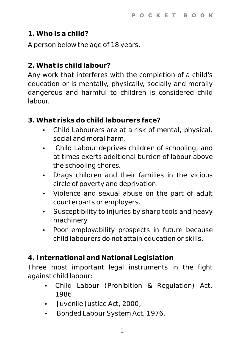### **1. Who is a child?**

A person below the age of 18 years.

## **2. What is child labour?**

Any work that interferes with the completion of a child's education or is mentally, physically, socially and morally dangerous and harmful to children is considered child labour.

- **3. What risks do child labourers face?**
	- Child Labourers are at a risk of mental, physical, social and moral harm.
	- Child Labour deprives children of schooling, and at times exerts additional burden of labour above the schooling chores.
	- Drags children and their families in the vicious circle of poverty and deprivation.
	- Violence and sexual abuse on the part of adult counterparts or employers.
	- Susceptibility to injuries by sharp tools and heavy machinery.
	- Poor employability prospects in future because child labourers do not attain education or skills.

**4. International and National Legislation**

Three most important legal instruments in the fight against child labour:

- Child Labour (Prohibition & Regulation) Act, 1986,
- Juvenile Justice Act, 2000,
- Bonded Labour System Act, 1976.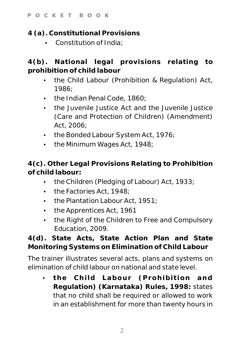**4 (a). Constitutional Provisions**

 $\cdot$  Constitution of India:

**4(b). National legal provisions relating to prohibition of child labour**

- the Child Labour (Prohibition & Regulation) Act, 1986;
- $\cdot$  the Indian Penal Code, 1860;
- the Juvenile Justice Act and the Juvenile Justice (Care and Protection of Children) (Amendment) Act, 2006;
- the Bonded Labour System Act, 1976;
- $\cdot$  the Minimum Wages Act, 1948;

**4(c). Other Legal Provisions Relating to Prohibition of child labour:**

- the Children (Pledging of Labour) Act, 1933;
- the Factories Act, 1948;
- $\cdot$  the Plantation Labour Act, 1951;
- the Apprentices Act, 1961
- the Right of the Children to Free and Compulsory Education, 2009.

**4(d). State Acts, State Action Plan and State Monitoring Systems on Elimination of Child Labour**

The trainer illustrates several acts, plans and systems on elimination of child labour on national and state level.

Ÿ **the Child Labour (Prohibition and Regulation) (Karnataka) Rules, 1998:** states that no child shall be required or allowed to work in an establishment for more than twenty hours in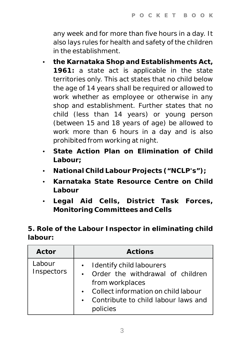any week and for more than five hours in a day. It also lays rules for health and safety of the children in the establishment.

- $\cdot$  the Karnataka Shop and Establishments Act, **1961:** a state act is applicable in the state territories only. This act states that no child below the age of 14 years shall be required or allowed to work whether as employee or otherwise in any shop and establishment. Further states that no child (less than 14 years) or young person (between 15 and 18 years of age) be allowed to work more than 6 hours in a day and is also prohibited from working at night.
- State Action Plan on Elimination of Child **Labour;**
- National Child Labour Projects ("NCLP's");
- Karnataka State Resource Centre on Child **Labour**
- Ÿ **Legal Aid Cells, District Task Forces, Monitoring Committees and Cells**

**5. Role of the Labour Inspector in eliminating child labour:**

| Actor                | Actions                                                                                                                                                                   |
|----------------------|---------------------------------------------------------------------------------------------------------------------------------------------------------------------------|
| Labour<br>Inspectors | Identify child labourers<br>Order the withdrawal of children<br>from workplaces<br>Collect information on child labour<br>Contribute to child labour laws and<br>policies |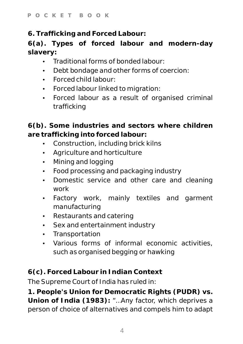**6. Trafficking and Forced Labour:**

**6(a). Types of forced labour and modern-day slavery:**

- $\cdot$  Traditional forms of bonded labour:
- Debt bondage and other forms of coercion:
- Forced child labour:
- Forced labour linked to migration:
- Forced labour as a result of organised criminal trafficking

**6(b). Some industries and sectors where children are trafficking into forced labour:**

- Construction, including brick kilns
- Agriculture and horticulture
- Mining and logging
- Food processing and packaging industry
- Domestic service and other care and cleaning work
- Factory work, mainly textiles and garment manufacturing
- $\cdot$  Restaurants and catering
- Sex and entertainment industry
- Transportation
- Various forms of informal economic activities, such as organised begging or hawking

**6(c). Forced Labour in Indian Context**

The Supreme Court of India has ruled in:

**1. People's Union for Democratic Rights (PUDR) vs. Union of India (1983):** "…Any factor, which deprives a person of choice of alternatives and compels him to adapt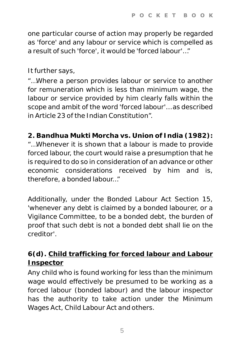one particular course of action may properly be regarded as 'force' and any labour or service which is compelled as a result of such 'force', it would be 'forced labour'…"

It further says,

"…Where a person provides labour or service to another for remuneration which is less than minimum wage, the labour or service provided by him clearly falls within the scope and ambit of the word 'forced labour'… as described in Article 23 of the Indian Constitution".

**2. Bandhua Mukti Morcha vs. Union of India (1982):** "…Whenever it is shown that a labour is made to provide forced labour, the court would raise a presumption that he is required to do so in consideration of an advance or other economic considerations received by him and is, therefore, a bonded labour…"

Additionally, under the Bonded Labour Act Section 15, 'whenever any debt is claimed by a bonded labourer, or a Vigilance Committee, to be a bonded debt, the burden of proof that such debt is not a bonded debt shall lie on the creditor'.

**6(d). Child trafficking for forced labour and Labour Inspector**

Any child who is found working for less than the minimum wage would effectively be presumed to be working as a forced labour (bonded labour) and the labour inspector has the authority to take action under the Minimum Wages Act, Child Labour Act and others.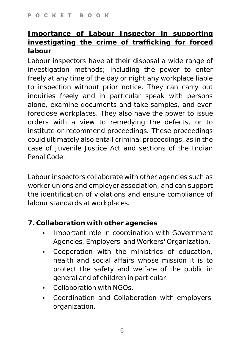**Importance of Labour Inspector in supporting investigating the crime of trafficking for forced labour**

Labour inspectors have at their disposal a wide range of investigation methods; including the power to enter freely at any time of the day or night any workplace liable to inspection without prior notice. They can carry out inquiries freely and in particular speak with persons alone, examine documents and take samples, and even foreclose workplaces. They also have the power to issue orders with a view to remedying the defects, or to institute or recommend proceedings. These proceedings could ultimately also entail criminal proceedings, as in the case of Juvenile Justice Act and sections of the Indian Penal Code.

Labour inspectors collaborate with other agencies such as worker unions and employer association, and can support the identification of violations and ensure compliance of labour standards at workplaces.

- **7. Collaboration with other agencies**
	- Important role in coordination with Government Agencies, Employers' and Workers' Organization.
	- Cooperation with the ministries of education, health and social affairs whose mission it is to protect the safety and welfare of the public in general and of children in particular.
	- $\cdot$  Collaboration with NGOs.
	- Coordination and Collaboration with employers' organization.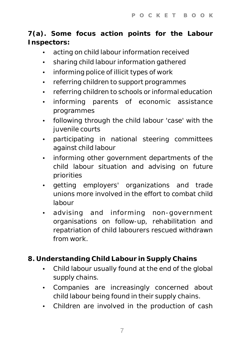**7(a). Some focus action points for the Labour Inspectors:**

- acting on child labour information received
- sharing child labour information gathered
- informing police of illicit types of work
- referring children to support programmes
- referring children to schools or informal education
- $\cdot$  informing parents of economic assistance programmes
- following through the child labour 'case' with the juvenile courts
- participating in national steering committees against child labour
- informing other government departments of the child labour situation and advising on future priorities
- getting employers' organizations and trade unions more involved in the effort to combat child labour
- advising and informing non-government organisations on follow-up, rehabilitation and repatriation of child labourers rescued withdrawn from work.
- **8. Understanding Child Labour in Supply Chains**
	- Child labour usually found at the end of the global supply chains.
	- Companies are increasingly concerned about child labour being found in their supply chains.
	- Children are involved in the production of cash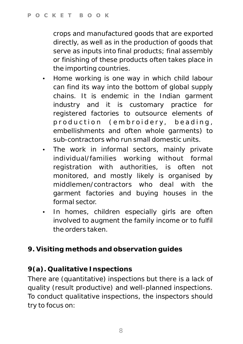crops and manufactured goods that are exported directly, as well as in the production of goods that serve as inputs into final products; final assembly or finishing of these products often takes place in the importing countries.

- Home working is one way in which child labour can find its way into the bottom of global supply chains. It is endemic in the Indian garment industry and it is customary practice for registered factories to outsource elements of production (embroidery, beading, embellishments and often whole garments) to sub-contractors who run small domestic units.
- The work in informal sectors, mainly private individual/families working without formal registration with authorities, is often not monitored, and mostly likely is organised by middlemen/contractors who deal with the garment factories and buying houses in the formal sector.
- In homes, children especially girls are often involved to augment the family income or to fulfil the orders taken.
- **9. Visiting methods and observation guides**

# **9(a). Qualitative Inspections**

There are (quantitative) inspections but there is a lack of quality (result productive) and well-planned inspections. To conduct qualitative inspections, the inspectors should try to focus on: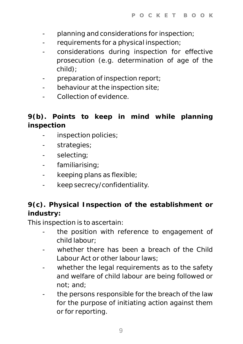- planning and considerations for inspection;
- requirements for a physical inspection;
- considerations during inspection for effective prosecution (e.g. determination of age of the child);
- preparation of inspection report;
- behaviour at the inspection site:
- Collection of evidence.

**9(b). Points to keep in mind while planning inspection**

- inspection policies;
- strategies;
- selecting;
- familiarising;
- keeping plans as flexible;
- keep secrecy/confidentiality.

**9(c). Physical Inspection of the establishment or industry:**

This inspection is to ascertain:

- the position with reference to engagement of child labour;
- whether there has been a breach of the Child Labour Act or other labour laws;
- whether the legal requirements as to the safety and welfare of child labour are being followed or not; and;
- the persons responsible for the breach of the law for the purpose of initiating action against them or for reporting.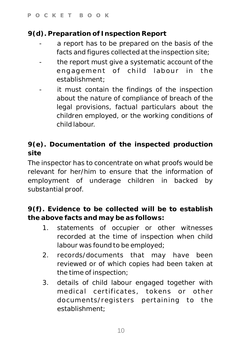**9(d). Preparation of Inspection Report**

- a report has to be prepared on the basis of the facts and figures collected at the inspection site;
- the report must give a systematic account of the engagement of child labour in the establishment;
- it must contain the findings of the inspection about the nature of compliance of breach of the legal provisions, factual particulars about the children employed, or the working conditions of child labour.

**9(e). Documentation of the inspected production site**

The inspector has to concentrate on what proofs would be relevant for her/him to ensure that the information of employment of underage children in backed by substantial proof.

**9(f). Evidence to be collected will be to establish the above facts and may be as follows:**

- 1. statements of occupier or other witnesses recorded at the time of inspection when child labour was found to be employed;
- 2. records/documents that may have been reviewed or of which copies had been taken at the time of inspection;
- 3. details of child labour engaged together with medical certificates, tokens or other documents/registers pertaining to the establishment;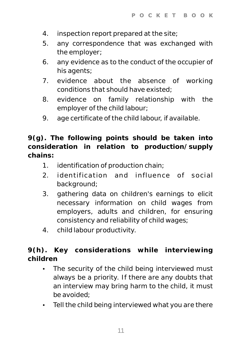- 4. inspection report prepared at the site;
- 5. any correspondence that was exchanged with the employer;
- 6. any evidence as to the conduct of the occupier of his agents;
- 7. evidence about the absence of working conditions that should have existed;
- 8. evidence on family relationship with the employer of the child labour;
- 9. age certificate of the child labour, if available.

**9(g). The following points should be taken into consideration in relation to production/supply chains:**

- 1. identification of production chain;
- 2. identification and influence of social background;
- 3. gathering data on children's earnings to elicit necessary information on child wages from employers, adults and children, for ensuring consistency and reliability of child wages;
- 4. child labour productivity.

**9(h). Key considerations while interviewing children**

- The security of the child being interviewed must always be a priority. If there are any doubts that an interview may bring harm to the child, it must be avoided;
- Tell the child being interviewed what you are there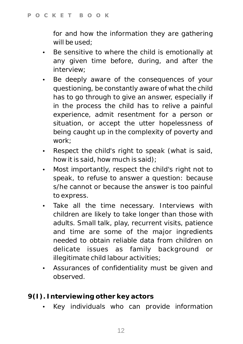for and how the information they are gathering will be used;

- Be sensitive to where the child is emotionally at any given time before, during, and after the interview;
- Be deeply aware of the consequences of your questioning, be constantly aware of what the child has to go through to give an answer, especially if in the process the child has to relive a painful experience, admit resentment for a person or situation, or accept the utter hopelessness of being caught up in the complexity of poverty and work;
- Respect the child's right to speak (what is said, how it is said, how much is said);
- Most importantly, respect the child's right not to speak, to refuse to answer a question: because s/he cannot or because the answer is too painful to express.
- Take all the time necessary. Interviews with children are likely to take longer than those with adults. Small talk, play, recurrent visits, patience and time are some of the major ingredients needed to obtain reliable data from children on delicate issues as family background or illegitimate child labour activities;
- Assurances of confidentiality must be given and observed.
- **9(I). Interviewing other key actors**
	- Key individuals who can provide information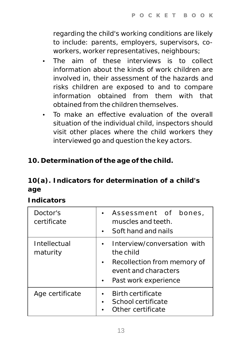regarding the child's working conditions are likely to include: parents, employers, supervisors, coworkers, worker representatives, neighbours;

- The aim of these interviews is to collect information about the kinds of work children are involved in, their assessment of the hazards and risks children are exposed to and to compare information obtained from them with that obtained from the children themselves.
- To make an effective evaluation of the overall situation of the individual child, inspectors should visit other places where the child workers they interviewed go and question the key actors.

**10. Determination of the age of the child.**

**10(a). Indicators for determination of a child's age**

*Indicators*

| Doctor's<br>certificate  | Assessment of bones,<br>muscles and teeth.<br>Soft hand and nails<br>$\bullet$                                                                    |
|--------------------------|---------------------------------------------------------------------------------------------------------------------------------------------------|
| Intellectual<br>maturity | Interview/conversation with<br>the child<br>Recollection from memory of<br>$\bullet$<br>event and characters<br>Past work experience<br>$\bullet$ |
| Age certificate          | <b>Birth certificate</b><br>School certificate<br>Other certificate                                                                               |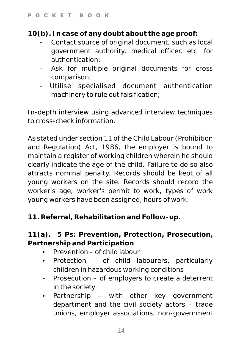**10(b). In case of any doubt about the age proof:**

- Contact source of original document, such as local government authority, medical officer, etc. for authentication;
- Ask for multiple original documents for cross comparison;
- Utilise specialised document authentication machinery to rule out falsification;

In-depth interview using advanced interview techniques to cross-check information.

As stated under section 11 of the Child Labour (Prohibition and Regulation) Act, 1986, the employer is bound to maintain a register of working children wherein he should clearly indicate the age of the child. Failure to do so also attracts nominal penalty. Records should be kept of all young workers on the site. Records should record the worker's age, worker's permit to work, types of work young workers have been assigned, hours of work.

**11. Referral, Rehabilitation and Follow-up.**

**11(a). 5 Ps: Prevention, Protection, Prosecution, Partnership and Participation**

- $\cdot$  Prevention of child labour
- Protection of child labourers, particularly children in hazardous working conditions
- Prosecution of employers to create a deterrent in the society
- Partnership with other key government department and the civil society actors – trade unions, employer associations, non-government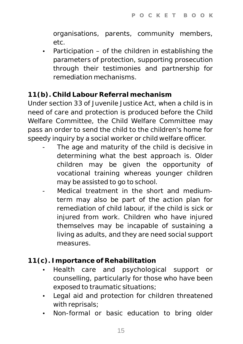organisations, parents, community members, etc.

 $\cdot$  Participation – of the children in establishing the parameters of protection, supporting prosecution through their testimonies and partnership for remediation mechanisms.

### **11(b). Child Labour Referral mechanism**

Under section 33 of Juvenile Justice Act, when a child is in need of care and protection is produced before the Child Welfare Committee, the Child Welfare Committee may pass an order to send the child to the children's home for speedy inquiry by a social worker or child welfare officer.

- The age and maturity of the child is decisive in determining what the best approach is. Older children may be given the opportunity of vocational training whereas younger children may be assisted to go to school.
- Medical treatment in the short and mediumterm may also be part of the action plan for remediation of child labour, if the child is sick or injured from work. Children who have injured themselves may be incapable of sustaining a living as adults, and they are need social support measures.
- **11(c). Importance of Rehabilitation**
	- Health care and psychological support or counselling, particularly for those who have been exposed to traumatic situations;
	- Legal aid and protection for children threatened with reprisals;
	- Non-formal or basic education to bring older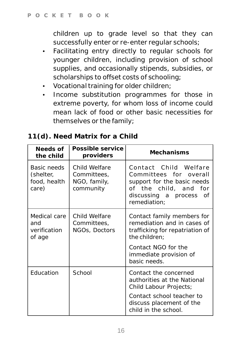children up to grade level so that they can successfully enter or re-enter regular schools;

- Facilitating entry directly to regular schools for younger children, including provision of school supplies, and occasionally stipends, subsidies, or scholarships to offset costs of schooling;
- Vocational training for older children;
- Income substitution programmes for those in extreme poverty, for whom loss of income could mean lack of food or other basic necessities for themselves or the family;

| Needs of<br>the child                             | Possible service<br>providers                             | Mechanisms                                                                                                                                         |
|---------------------------------------------------|-----------------------------------------------------------|----------------------------------------------------------------------------------------------------------------------------------------------------|
| Basic needs<br>(shelter,<br>food, health<br>care) | Child Welfare<br>Committees,<br>NGO, family,<br>community | Contact Child Welfare<br>Committees for overall<br>support for the basic needs<br>of the child, and for<br>discussing a process of<br>remediation: |
| Medical care<br>and<br>verification<br>of age     | Child Welfare<br>Committees,<br>NGOs, Doctors             | Contact family members for<br>remediation and in cases of<br>trafficking for repatriation of<br>the children:                                      |
|                                                   |                                                           | Contact NGO for the<br>immediate provision of<br>basic needs.                                                                                      |
| Education                                         | School                                                    | Contact the concerned<br>authorities at the National<br>Child Labour Projects;                                                                     |
|                                                   |                                                           | Contact school teacher to<br>discuss placement of the<br>child in the school.                                                                      |

## **11(d). Need Matrix for a Child**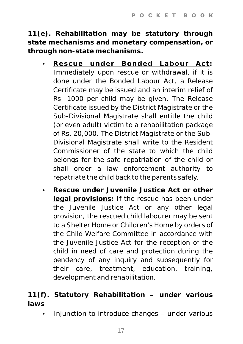**11(e). Rehabilitation may be statutory through state mechanisms and monetary compensation, or through non-state mechanisms.** 

- Ÿ **Rescue under Bonded Labour Act:** Immediately upon rescue or withdrawal, if it is done under the Bonded Labour Act, a Release Certificate may be issued and an interim relief of Rs. 1000 per child may be given. The Release Certificate issued by the District Magistrate or the Sub-Divisional Magistrate shall entitle the child (or even adult) victim to a rehabilitation package of Rs. 20,000. The District Magistrate or the Sub-Divisional Magistrate shall write to the Resident Commissioner of the state to which the child belongs for the safe repatriation of the child or shall order a law enforcement authority to repatriate the child back to the parents safely.
- **Rescue under Juvenile Justice Act or other legal provisions:** If the rescue has been under the Juvenile Justice Act or any other legal provision, the rescued child labourer may be sent to a Shelter Home or Children's Home by orders of the Child Welfare Committee in accordance with the Juvenile Justice Act for the reception of the child in need of care and protection during the pendency of any inquiry and subsequently for their care, treatment, education, training, development and rehabilitation.

**11(f). Statutory Rehabilitation – under various laws**

Injunction to introduce changes – under various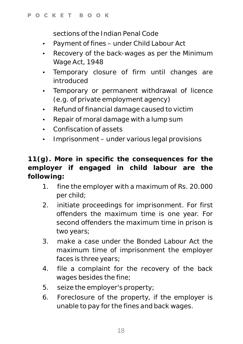sections of the Indian Penal Code

- Payment of fines under Child Labour Act
- Recovery of the back-wages as per the Minimum Wage Act, 1948
- Temporary closure of firm until changes are introduced
- Temporary or permanent withdrawal of licence (e.g. of private employment agency)
- Refund of financial damage caused to victim
- Repair of moral damage with a lump sum
- Confiscation of assets
- Imprisonment under various legal provisions

**11(g). More in specific the consequences for the employer if engaged in child labour are the following:** 

- 1. fine the employer with a maximum of Rs. 20.000 per child;
- 2. initiate proceedings for imprisonment. For first offenders the maximum time is one year. For second offenders the maximum time in prison is two years;
- 3. make a case under the Bonded Labour Act the maximum time of imprisonment the employer faces is three years;
- 4. file a complaint for the recovery of the back wages besides the fine;
- 5. seize the employer's property;
- 6. Foreclosure of the property, if the employer is unable to pay for the fines and back wages.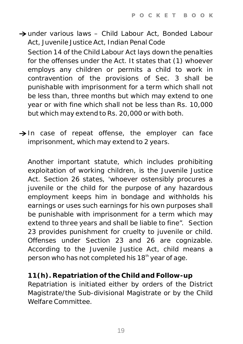under various laws – Child Labour Act, Bonded Labour Act, Juvenile Justice Act, Indian Penal Code

Section 14 of the Child Labour Act lays down the penalties for the offenses under the Act. It states that (1) whoever employs any children or permits a child to work in contravention of the provisions of Sec. 3 shall be punishable with imprisonment for a term which shall not be less than, three months but which may extend to one year or with fine which shall not be less than Rs. 10,000 but which may extend to Rs. 20,000 or with both.

 $\rightarrow$  In case of repeat offense, the employer can face imprisonment, which may extend to 2 years.

Another important statute, which includes prohibiting exploitation of working children, is the Juvenile Justice Act. Section 26 states, 'whoever ostensibly procures a juvenile or the child for the purpose of any hazardous employment keeps him in bondage and withholds his earnings or uses such earnings for his own purposes shall be punishable with imprisonment for a term which may extend to three years and shall be liable to fine". Section 23 provides punishment for cruelty to juvenile or child. Offenses under Section 23 and 26 are cognizable. According to the Juvenile Justice Act, child means a person who has not completed his 18<sup>th</sup> year of age.

**11(h). Repatriation of the Child and Follow-up** Repatriation is initiated either by orders of the District Magistrate/the Sub-divisional Magistrate or by the Child Welfare Committee.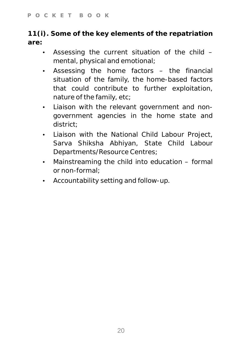**11(i). Some of the key elements of the repatriation are:**

- $\cdot$  Assessing the current situation of the child  $$ mental, physical and emotional;
- Assessing the home factors the financial situation of the family, the home-based factors that could contribute to further exploitation, nature of the family, etc;
- Liaison with the relevant government and nongovernment agencies in the home state and district;
- Liaison with the National Child Labour Project, Sarva Shiksha Abhiyan, State Child Labour Departments/Resource Centres;
- $\cdot$  Mainstreaming the child into education formal or non-formal;
- Accountability setting and follow-up.